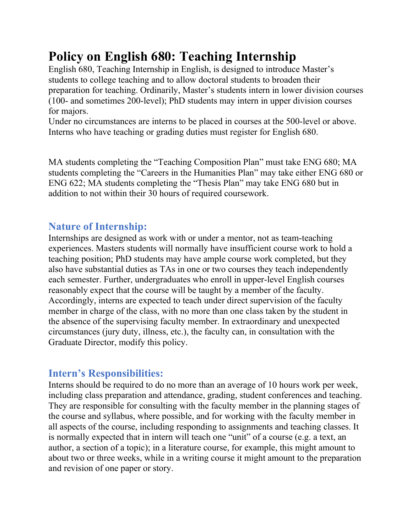# **Policy on English 680: Teaching Internship**

English 680, Teaching Internship in English, is designed to introduce Master's students to college teaching and to allow doctoral students to broaden their preparation for teaching. Ordinarily, Master's students intern in lower division courses (100- and sometimes 200-level); PhD students may intern in upper division courses for majors.

Under no circumstances are interns to be placed in courses at the 500-level or above. Interns who have teaching or grading duties must register for English 680.

MA students completing the "Teaching Composition Plan" must take ENG 680; MA students completing the "Careers in the Humanities Plan" may take either ENG 680 or ENG 622; MA students completing the "Thesis Plan" may take ENG 680 but in addition to not within their 30 hours of required coursework.

## **Nature of Internship:**

Internships are designed as work with or under a mentor, not as team-teaching experiences. Masters students will normally have insufficient course work to hold a teaching position; PhD students may have ample course work completed, but they also have substantial duties as TAs in one or two courses they teach independently each semester. Further, undergraduates who enroll in upper-level English courses reasonably expect that the course will be taught by a member of the faculty. Accordingly, interns are expected to teach under direct supervision of the faculty member in charge of the class, with no more than one class taken by the student in the absence of the supervising faculty member. In extraordinary and unexpected circumstances (jury duty, illness, etc.), the faculty can, in consultation with the Graduate Director, modify this policy.

# **Intern's Responsibilities:**

Interns should be required to do no more than an average of 10 hours work per week, including class preparation and attendance, grading, student conferences and teaching. They are responsible for consulting with the faculty member in the planning stages of the course and syllabus, where possible, and for working with the faculty member in all aspects of the course, including responding to assignments and teaching classes. It is normally expected that in intern will teach one "unit" of a course (e.g. a text, an author, a section of a topic); in a literature course, for example, this might amount to about two or three weeks, while in a writing course it might amount to the preparation and revision of one paper or story.